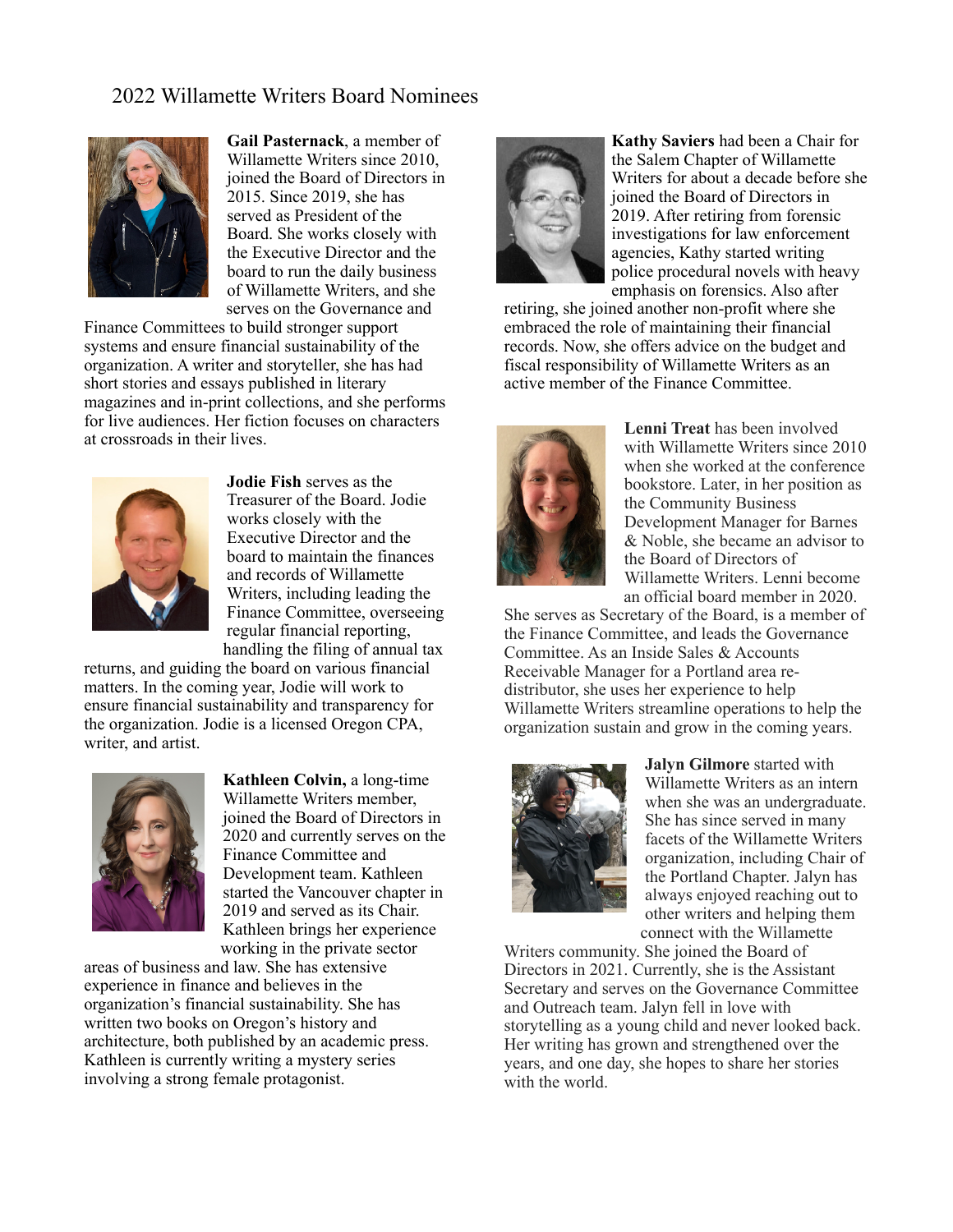## 2022 Willamette Writers Board Nominees



**Gail Pasternack**, a member of Willamette Writers since 2010, joined the Board of Directors in 2015. Since 2019, she has served as President of the Board. She works closely with the Executive Director and the board to run the daily business of Willamette Writers, and she serves on the Governance and

Finance Committees to build stronger support systems and ensure financial sustainability of the organization. A writer and storyteller, she has had short stories and essays published in literary magazines and in-print collections, and she performs for live audiences. Her fiction focuses on characters at crossroads in their lives.



**Jodie Fish** serves as the Treasurer of the Board. Jodie works closely with the Executive Director and the board to maintain the finances and records of Willamette Writers, including leading the Finance Committee, overseeing regular financial reporting, handling the filing of annual tax

returns, and guiding the board on various financial matters. In the coming year, Jodie will work to ensure financial sustainability and transparency for the organization. Jodie is a licensed Oregon CPA, writer, and artist.



**Kathleen Colvin,** a long-time Willamette Writers member, joined the Board of Directors in 2020 and currently serves on the Finance Committee and Development team. Kathleen started the Vancouver chapter in 2019 and served as its Chair. Kathleen brings her experience working in the private sector

areas of business and law. She has extensive experience in finance and believes in the organization's financial sustainability. She has written two books on Oregon's history and architecture, both published by an academic press. Kathleen is currently writing a mystery series involving a strong female protagonist.



**Kathy Saviers** had been a Chair for the Salem Chapter of Willamette Writers for about a decade before she joined the Board of Directors in 2019. After retiring from forensic investigations for law enforcement agencies, Kathy started writing police procedural novels with heavy emphasis on forensics. Also after

retiring, she joined another non-profit where she embraced the role of maintaining their financial records. Now, she offers advice on the budget and fiscal responsibility of Willamette Writers as an active member of the Finance Committee.



**Lenni Treat** has been involved with Willamette Writers since 2010 when she worked at the conference bookstore. Later, in her position as the Community Business Development Manager for Barnes & Noble, she became an advisor to the Board of Directors of Willamette Writers. Lenni become an official board member in 2020.

She serves as Secretary of the Board, is a member of the Finance Committee, and leads the Governance Committee. As an Inside Sales & Accounts Receivable Manager for a Portland area redistributor, she uses her experience to help Willamette Writers streamline operations to help the organization sustain and grow in the coming years.



**Jalyn Gilmore** started with Willamette Writers as an intern when she was an undergraduate. She has since served in many facets of the Willamette Writers organization, including Chair of the Portland Chapter. Jalyn has always enjoyed reaching out to other writers and helping them connect with the Willamette

Writers community. She joined the Board of Directors in 2021. Currently, she is the Assistant Secretary and serves on the Governance Committee and Outreach team. Jalyn fell in love with storytelling as a young child and never looked back. Her writing has grown and strengthened over the years, and one day, she hopes to share her stories with the world.